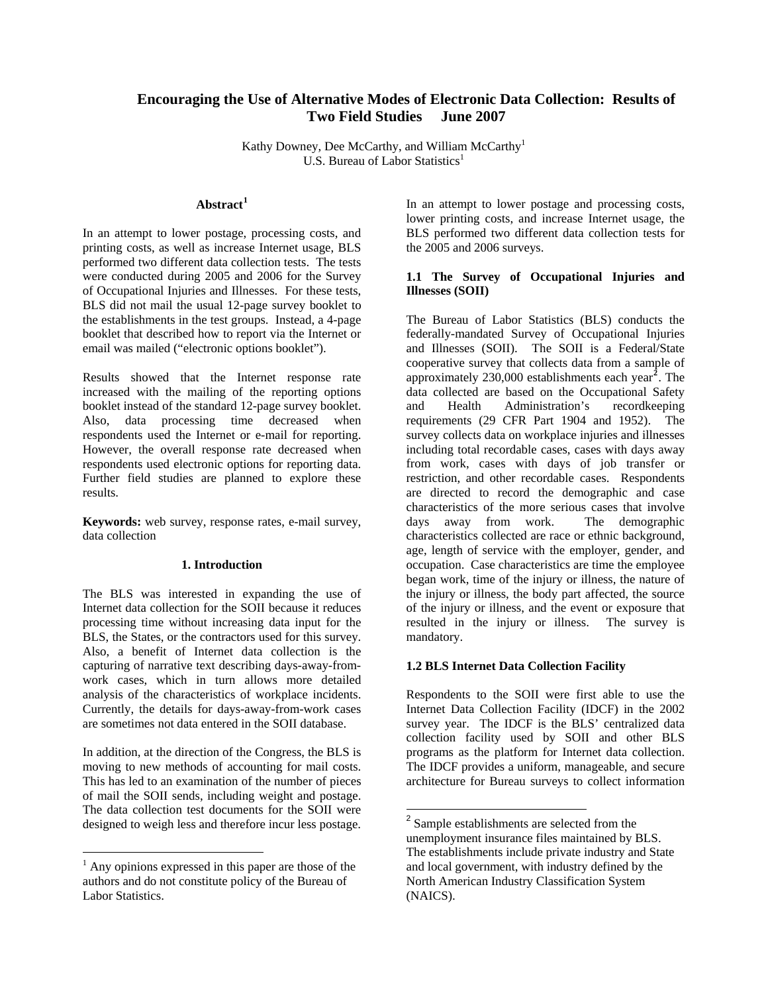# **Encouraging the Use of Alternative Modes of Electronic Data Collection: Results of Two Field Studies June 2007**

Kathy Downey, Dee McCarthy, and William McCarthy<sup>1</sup> U.S. Bureau of Labor Statistics<sup>1</sup>

## **Abstract[1](#page-0-0)**

In an attempt to lower postage, processing costs, and printing costs, as well as increase Internet usage, BLS performed two different data collection tests. The tests were conducted during 2005 and 2006 for the Survey of Occupational Injuries and Illnesses. For these tests, BLS did not mail the usual 12-page survey booklet to the establishments in the test groups. Instead, a 4-page booklet that described how to report via the Internet or email was mailed ("electronic options booklet").

Results showed that the Internet response rate increased with the mailing of the reporting options booklet instead of the standard 12-page survey booklet. Also, data processing time decreased when respondents used the Internet or e-mail for reporting. However, the overall response rate decreased when respondents used electronic options for reporting data. Further field studies are planned to explore these results.

**Keywords:** web survey, response rates, e-mail survey, data collection

### **1. Introduction**

The BLS was interested in expanding the use of Internet data collection for the SOII because it reduces processing time without increasing data input for the BLS, the States, or the contractors used for this survey. Also, a benefit of Internet data collection is the capturing of narrative text describing days-away-fromwork cases, which in turn allows more detailed analysis of the characteristics of workplace incidents. Currently, the details for days-away-from-work cases are sometimes not data entered in the SOII database.

In addition, at the direction of the Congress, the BLS is moving to new methods of accounting for mail costs. This has led to an examination of the number of pieces of mail the SOII sends, including weight and postage. The data collection test documents for the SOII were designed to weigh less and therefore incur less postage.

<span id="page-0-1"></span>1

In an attempt to lower postage and processing costs, lower printing costs, and increase Internet usage, the BLS performed two different data collection tests for the 2005 and 2006 surveys.

### **1.1 The Survey of Occupational Injuries and Illnesses (SOII)**

The Bureau of Labor Statistics (BLS) conducts the federally-mandated Survey of Occupational Injuries and Illnesses (SOII). The SOII is a Federal/State cooperative survey that collects data from a sample of approximately 230,000 establishments each year**[2](#page-0-1)** . The data collected are based on the Occupational Safety and Health Administration's recordkeeping requirements (29 CFR Part 1904 and 1952). The survey collects data on workplace injuries and illnesses including total recordable cases, cases with days away from work, cases with days of job transfer or restriction, and other recordable cases. Respondents are directed to record the demographic and case characteristics of the more serious cases that involve days away from work. The demographic characteristics collected are race or ethnic background, age, length of service with the employer, gender, and occupation. Case characteristics are time the employee began work, time of the injury or illness, the nature of the injury or illness, the body part affected, the source of the injury or illness, and the event or exposure that resulted in the injury or illness. The survey is mandatory.

#### **1.2 BLS Internet Data Collection Facility**

 $\overline{a}$ 

Respondents to the SOII were first able to use the Internet Data Collection Facility (IDCF) in the 2002 survey year. The IDCF is the BLS' centralized data collection facility used by SOII and other BLS programs as the platform for Internet data collection. The IDCF provides a uniform, manageable, and secure architecture for Bureau surveys to collect information

<span id="page-0-0"></span><sup>&</sup>lt;sup>1</sup> Any opinions expressed in this paper are those of the authors and do not constitute policy of the Bureau of Labor Statistics.

<sup>&</sup>lt;sup>2</sup> Sample establishments are selected from the unemployment insurance files maintained by BLS. The establishments include private industry and State and local government, with industry defined by the North American Industry Classification System (NAICS).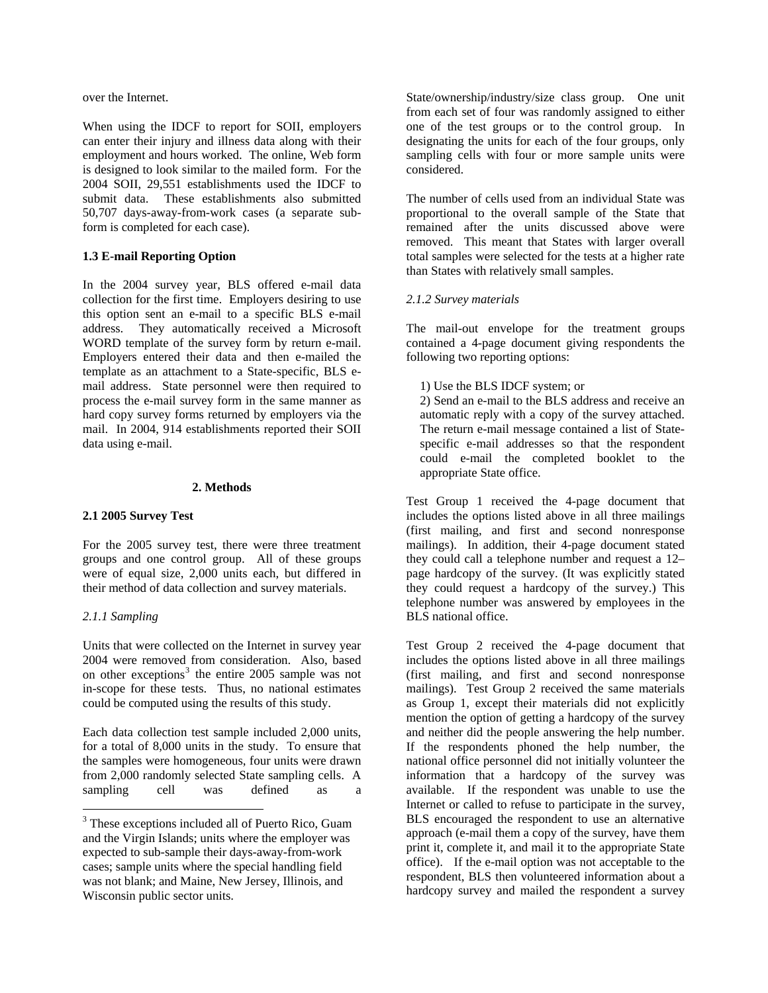over the Internet.

When using the IDCF to report for SOII, employers can enter their injury and illness data along with their employment and hours worked. The online, Web form is designed to look similar to the mailed form. For the 2004 SOII, 29,551 establishments used the IDCF to submit data. These establishments also submitted 50,707 days-away-from-work cases (a separate subform is completed for each case).

## **1.3 E-mail Reporting Option**

In the 2004 survey year, BLS offered e-mail data collection for the first time. Employers desiring to use this option sent an e-mail to a specific BLS e-mail address. They automatically received a Microsoft WORD template of the survey form by return e-mail. Employers entered their data and then e-mailed the template as an attachment to a State-specific, BLS email address. State personnel were then required to process the e-mail survey form in the same manner as hard copy survey forms returned by employers via the mail. In 2004, 914 establishments reported their SOII data using e-mail.

### **2. Methods**

### **2.1 2005 Survey Test**

For the 2005 survey test, there were three treatment groups and one control group. All of these groups were of equal size, 2,000 units each, but differed in their method of data collection and survey materials.

## *2.1.1 Sampling*

1

Units that were collected on the Internet in survey year 2004 were removed from consideration. Also, based on other exceptions<sup>[3](#page-1-0)</sup> the entire 2005 sample was not in-scope for these tests. Thus, no national estimates could be computed using the results of this study.

Each data collection test sample included 2,000 units, for a total of 8,000 units in the study. To ensure that the samples were homogeneous, four units were drawn from 2,000 randomly selected State sampling cells. A sampling cell was defined as a State/ownership/industry/size class group. One unit from each set of four was randomly assigned to either one of the test groups or to the control group. In designating the units for each of the four groups, only sampling cells with four or more sample units were considered.

The number of cells used from an individual State was proportional to the overall sample of the State that remained after the units discussed above were removed. This meant that States with larger overall total samples were selected for the tests at a higher rate than States with relatively small samples.

## *2.1.2 Survey materials*

The mail-out envelope for the treatment groups contained a 4-page document giving respondents the following two reporting options:

1) Use the BLS IDCF system; or

2) Send an e-mail to the BLS address and receive an automatic reply with a copy of the survey attached. The return e-mail message contained a list of Statespecific e-mail addresses so that the respondent could e-mail the completed booklet to the appropriate State office.

Test Group 1 received the 4-page document that includes the options listed above in all three mailings (first mailing, and first and second nonresponse mailings). In addition, their 4-page document stated they could call a telephone number and request a 12– page hardcopy of the survey. (It was explicitly stated they could request a hardcopy of the survey.) This telephone number was answered by employees in the BLS national office.

Test Group 2 received the 4-page document that includes the options listed above in all three mailings (first mailing, and first and second nonresponse mailings). Test Group 2 received the same materials as Group 1, except their materials did not explicitly mention the option of getting a hardcopy of the survey and neither did the people answering the help number. If the respondents phoned the help number, the national office personnel did not initially volunteer the information that a hardcopy of the survey was available. If the respondent was unable to use the Internet or called to refuse to participate in the survey, BLS encouraged the respondent to use an alternative approach (e-mail them a copy of the survey, have them print it, complete it, and mail it to the appropriate State office). If the e-mail option was not acceptable to the respondent, BLS then volunteered information about a hardcopy survey and mailed the respondent a survey

<span id="page-1-0"></span><sup>&</sup>lt;sup>3</sup> These exceptions included all of Puerto Rico, Guam and the Virgin Islands; units where the employer was expected to sub-sample their days-away-from-work cases; sample units where the special handling field was not blank; and Maine, New Jersey, Illinois, and Wisconsin public sector units.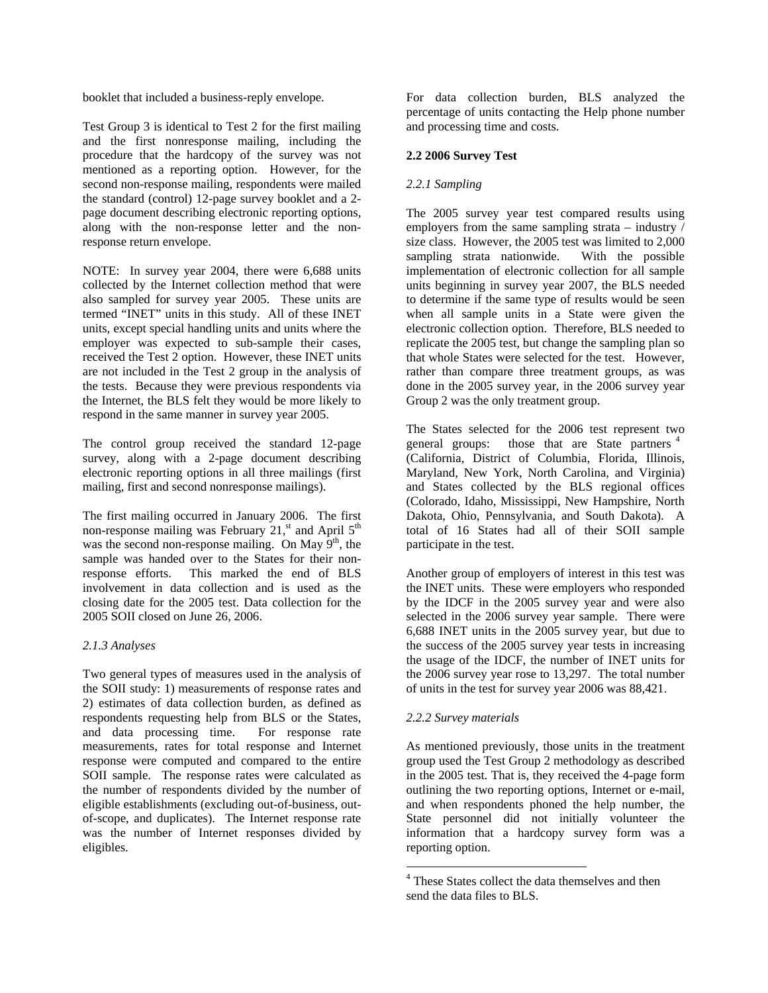booklet that included a business-reply envelope.

Test Group 3 is identical to Test 2 for the first mailing and the first nonresponse mailing, including the procedure that the hardcopy of the survey was not mentioned as a reporting option. However, for the second non-response mailing, respondents were mailed the standard (control) 12-page survey booklet and a 2 page document describing electronic reporting options, along with the non-response letter and the nonresponse return envelope.

NOTE: In survey year 2004, there were 6,688 units collected by the Internet collection method that were also sampled for survey year 2005. These units are termed "INET" units in this study. All of these INET units, except special handling units and units where the employer was expected to sub-sample their cases, received the Test 2 option. However, these INET units are not included in the Test 2 group in the analysis of the tests. Because they were previous respondents via the Internet, the BLS felt they would be more likely to respond in the same manner in survey year 2005.

The control group received the standard 12-page survey, along with a 2-page document describing electronic reporting options in all three mailings (first mailing, first and second nonresponse mailings).

The first mailing occurred in January 2006. The first non-response mailing was February  $21$ ,<sup>st</sup> and April  $5<sup>th</sup>$ was the second non-response mailing. On May  $9<sup>th</sup>$ , the sample was handed over to the States for their nonresponse efforts. This marked the end of BLS involvement in data collection and is used as the closing date for the 2005 test. Data collection for the 2005 SOII closed on June 26, 2006.

## *2.1.3 Analyses*

<span id="page-2-0"></span>Two general types of measures used in the analysis of the SOII study: 1) measurements of response rates and 2) estimates of data collection burden, as defined as respondents requesting help from BLS or the States, and data processing time. For response rate measurements, rates for total response and Internet response were computed and compared to the entire SOII sample. The response rates were calculated as the number of respondents divided by the number of eligible establishments (excluding out-of-business, outof-scope, and duplicates). The Internet response rate was the number of Internet responses divided by eligibles.

For data collection burden, BLS analyzed the percentage of units contacting the Help phone number and processing time and costs.

# **2.2 2006 Survey Test**

# *2.2.1 Sampling*

The 2005 survey year test compared results using employers from the same sampling strata – industry / size class. However, the 2005 test was limited to 2,000 sampling strata nationwide. With the possible implementation of electronic collection for all sample units beginning in survey year 2007, the BLS needed to determine if the same type of results would be seen when all sample units in a State were given the electronic collection option. Therefore, BLS needed to replicate the 2005 test, but change the sampling plan so that whole States were selected for the test. However, rather than compare three treatment groups, as was done in the 2005 survey year, in the 2006 survey year Group 2 was the only treatment group.

The States selected for the 2006 test represent two general groups: those that are State partners  $4$ (California, District of Columbia, Florida, Illinois, Maryland, New York, North Carolina, and Virginia) and States collected by the BLS regional offices (Colorado, Idaho, Mississippi, New Hampshire, North Dakota, Ohio, Pennsylvania, and South Dakota). A total of 16 States had all of their SOII sample participate in the test.

Another group of employers of interest in this test was the INET units. These were employers who responded by the IDCF in the 2005 survey year and were also selected in the 2006 survey year sample. There were 6,688 INET units in the 2005 survey year, but due to the success of the 2005 survey year tests in increasing the usage of the IDCF, the number of INET units for the 2006 survey year rose to 13,297. The total number of units in the test for survey year 2006 was 88,421.

## *2.2.2 Survey materials*

As mentioned previously, those units in the treatment group used the Test Group 2 methodology as described in the 2005 test. That is, they received the 4-page form outlining the two reporting options, Internet or e-mail, and when respondents phoned the help number, the State personnel did not initially volunteer the information that a hardcopy survey form was a reporting option.

 4 These States collect the data themselves and then send the data files to BLS.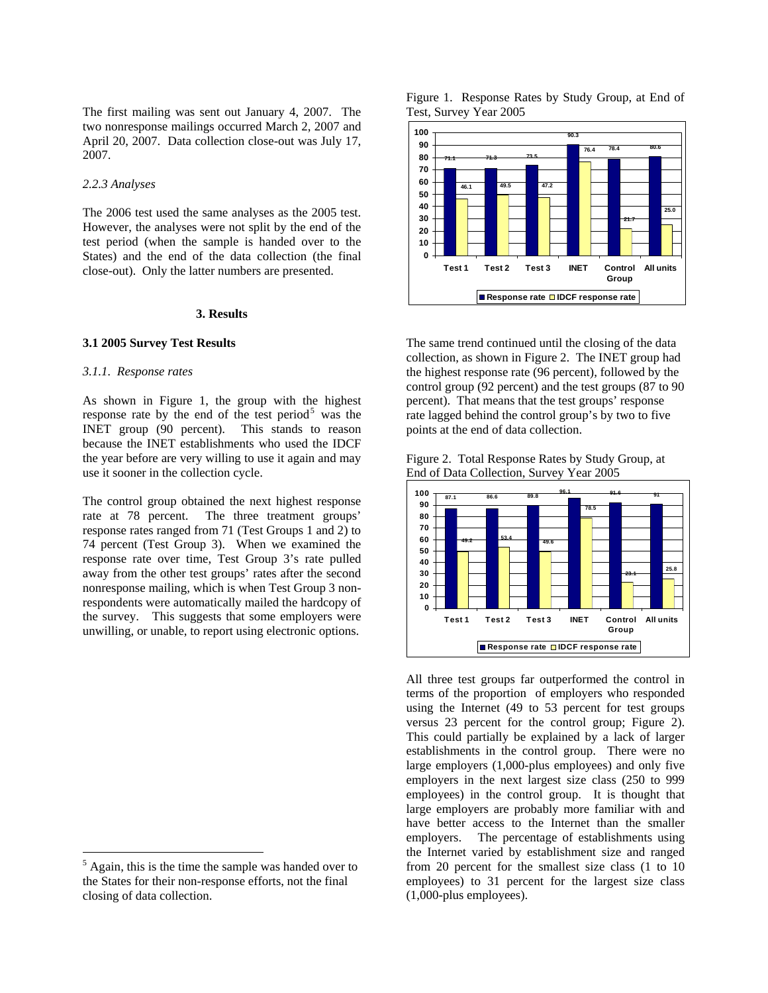The first mailing was sent out January 4, 2007. The two nonresponse mailings occurred March 2, 2007 and April 20, 2007. Data collection close-out was July 17, 2007.

### *2.2.3 Analyses*

The 2006 test used the same analyses as the 2005 test. However, the analyses were not split by the end of the test period (when the sample is handed over to the States) and the end of the data collection (the final close-out). Only the latter numbers are presented.

#### **3. Results**

### **3.1 2005 Survey Test Results**

#### *3.1.1. Response rates*

As shown in Figure 1, the group with the highest response rate by the end of the test period<sup>[5](#page-3-0)</sup> was the INET group (90 percent). This stands to reason because the INET establishments who used the IDCF the year before are very willing to use it again and may use it sooner in the collection cycle.

The control group obtained the next highest response rate at 78 percent. The three treatment groups' response rates ranged from 71 (Test Groups 1 and 2) to 74 percent (Test Group 3). When we examined the response rate over time, Test Group 3's rate pulled away from the other test groups' rates after the second nonresponse mailing, which is when Test Group 3 nonrespondents were automatically mailed the hardcopy of the survey. This suggests that some employers were unwilling, or unable, to report using electronic options.

1





The same trend continued until the closing of the data collection, as shown in Figure 2. The INET group had the highest response rate (96 percent), followed by the control group (92 percent) and the test groups (87 to 90 percent). That means that the test groups' response rate lagged behind the control group's by two to five points at the end of data collection.

Figure 2. Total Response Rates by Study Group, at End of Data Collection, Survey Year 2005



All three test groups far outperformed the control in terms of the proportion of employers who responded using the Internet (49 to 53 percent for test groups versus 23 percent for the control group; Figure 2). This could partially be explained by a lack of larger establishments in the control group. There were no large employers (1,000-plus employees) and only five employers in the next largest size class (250 to 999 employees) in the control group. It is thought that large employers are probably more familiar with and have better access to the Internet than the smaller employers. The percentage of establishments using the Internet varied by establishment size and ranged from 20 percent for the smallest size class (1 to 10 employees) to 31 percent for the largest size class (1,000-plus employees).

<span id="page-3-0"></span> $<sup>5</sup>$  Again, this is the time the sample was handed over to</sup> the States for their non-response efforts, not the final closing of data collection.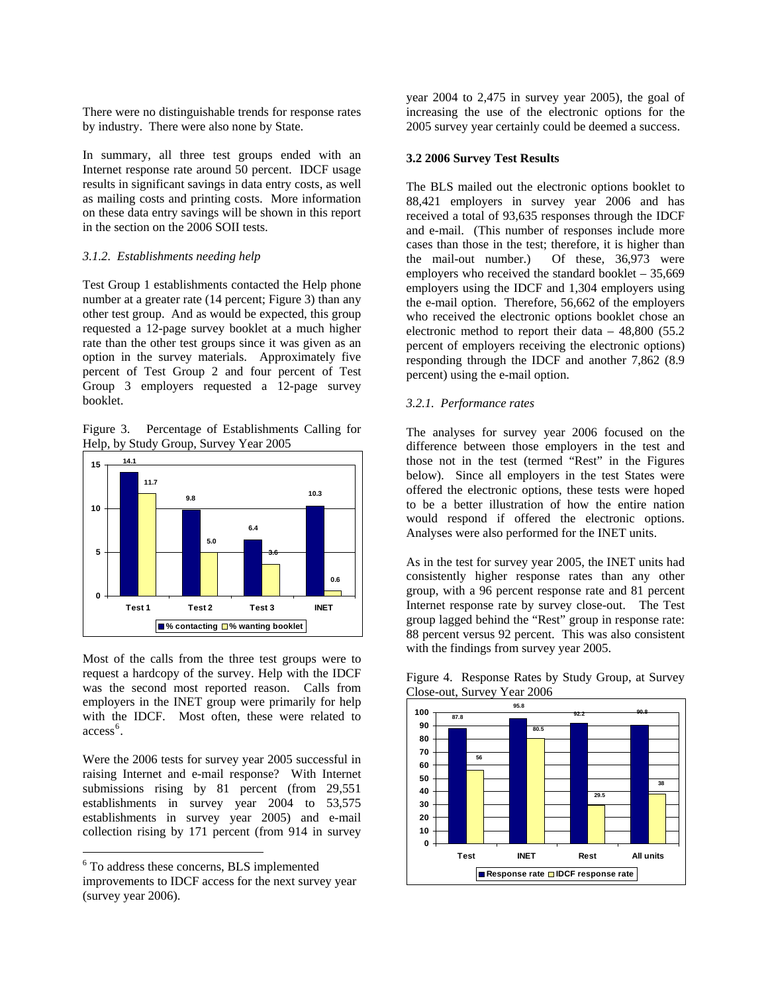There were no distinguishable trends for response rates by industry. There were also none by State.

In summary, all three test groups ended with an Internet response rate around 50 percent. IDCF usage results in significant savings in data entry costs, as well as mailing costs and printing costs. More information on these data entry savings will be shown in this report in the section on the 2006 SOII tests.

#### *3.1.2. Establishments needing help*

Test Group 1 establishments contacted the Help phone number at a greater rate (14 percent; Figure 3) than any other test group. And as would be expected, this group requested a 12-page survey booklet at a much higher rate than the other test groups since it was given as an option in the survey materials. Approximately five percent of Test Group 2 and four percent of Test Group 3 employers requested a 12-page survey booklet.

Figure 3. Percentage of Establishments Calling for Help, by Study Group, Survey Year 2005



Most of the calls from the three test groups were to request a hardcopy of the survey. Help with the IDCF was the second most reported reason. Calls from employers in the INET group were primarily for help with the IDCF. Most often, these were related to access<sup>[6](#page-4-0)</sup>.

Were the 2006 tests for survey year 2005 successful in raising Internet and e-mail response? With Internet submissions rising by 81 percent (from 29,551 establishments in survey year 2004 to 53,575 establishments in survey year 2005) and e-mail collection rising by 171 percent (from 914 in survey

<span id="page-4-0"></span>6 To address these concerns, BLS implemented

1

year 2004 to 2,475 in survey year 2005), the goal of increasing the use of the electronic options for the 2005 survey year certainly could be deemed a success.

#### **3.2 2006 Survey Test Results**

The BLS mailed out the electronic options booklet to 88,421 employers in survey year 2006 and has received a total of 93,635 responses through the IDCF and e-mail. (This number of responses include more cases than those in the test; therefore, it is higher than<br>the mail-out number.) Of these, 36,973 were Of these,  $36,973$  were employers who received the standard booklet – 35,669 employers using the IDCF and 1,304 employers using the e-mail option. Therefore, 56,662 of the employers who received the electronic options booklet chose an electronic method to report their data  $-48,800$  (55.2) percent of employers receiving the electronic options) responding through the IDCF and another 7,862 (8.9 percent) using the e-mail option.

### *3.2.1. Performance rates*

The analyses for survey year 2006 focused on the difference between those employers in the test and those not in the test (termed "Rest" in the Figures below). Since all employers in the test States were offered the electronic options, these tests were hoped to be a better illustration of how the entire nation would respond if offered the electronic options. Analyses were also performed for the INET units.

As in the test for survey year 2005, the INET units had consistently higher response rates than any other group, with a 96 percent response rate and 81 percent Internet response rate by survey close-out. The Test group lagged behind the "Rest" group in response rate: 88 percent versus 92 percent. This was also consistent with the findings from survey year 2005.

Figure 4. Response Rates by Study Group, at Survey Close-out, Survey Year 2006



improvements to IDCF access for the next survey year (survey year 2006).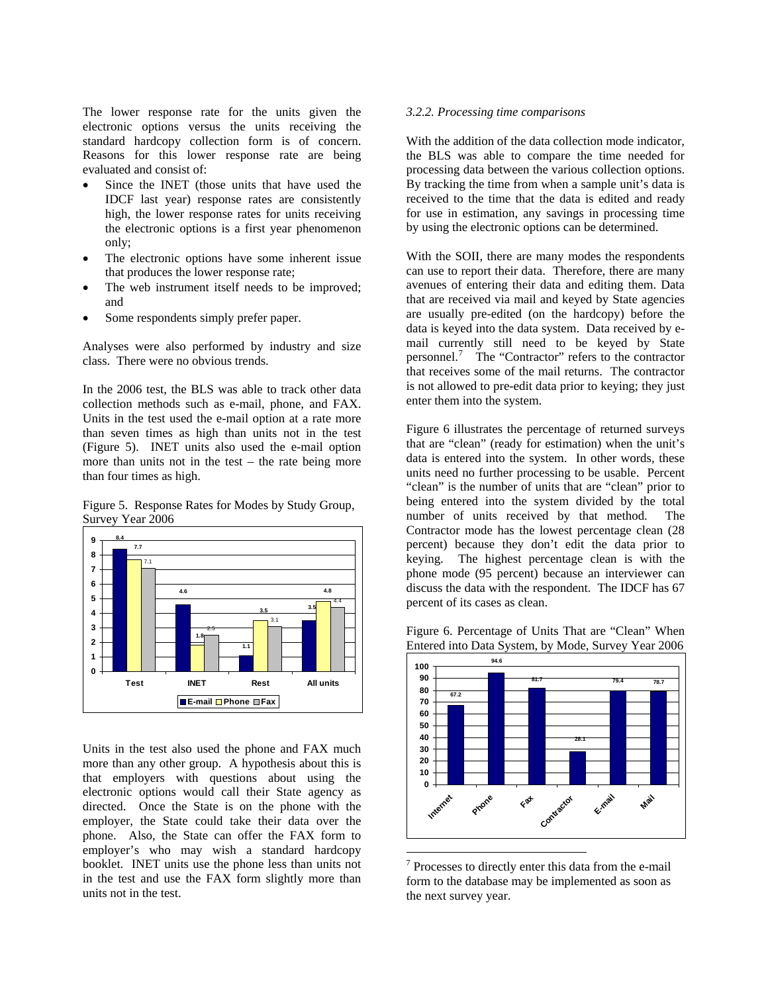The lower response rate for the units given the electronic options versus the units receiving the standard hardcopy collection form is of concern. Reasons for this lower response rate are being evaluated and consist of:

- Since the INET (those units that have used the IDCF last year) response rates are consistently high, the lower response rates for units receiving the electronic options is a first year phenomenon only;
- The electronic options have some inherent issue that produces the lower response rate;
- The web instrument itself needs to be improved; and
- Some respondents simply prefer paper.

Analyses were also performed by industry and size class. There were no obvious trends.

In the 2006 test, the BLS was able to track other data collection methods such as e-mail, phone, and FAX. Units in the test used the e-mail option at a rate more than seven times as high than units not in the test (Figure 5). INET units also used the e-mail option more than units not in the test – the rate being more than four times as high.

Figure 5. Response Rates for Modes by Study Group, Survey Year 2006



<span id="page-5-0"></span>Units in the test also used the phone and FAX much more than any other group. A hypothesis about this is that employers with questions about using the electronic options would call their State agency as directed. Once the State is on the phone with the employer, the State could take their data over the phone. Also, the State can offer the FAX form to employer's who may wish a standard hardcopy booklet. INET units use the phone less than units not in the test and use the FAX form slightly more than units not in the test.

#### *3.2.2. Processing time comparisons*

With the addition of the data collection mode indicator. the BLS was able to compare the time needed for processing data between the various collection options. By tracking the time from when a sample unit's data is received to the time that the data is edited and ready for use in estimation, any savings in processing time by using the electronic options can be determined.

With the SOII, there are many modes the respondents can use to report their data. Therefore, there are many avenues of entering their data and editing them. Data that are received via mail and keyed by State agencies are usually pre-edited (on the hardcopy) before the data is keyed into the data system. Data received by email currently still need to be keyed by State personnel.[7](#page-5-0) The "Contractor" refers to the contractor that receives some of the mail returns. The contractor is not allowed to pre-edit data prior to keying; they just enter them into the system.

Figure 6 illustrates the percentage of returned surveys that are "clean" (ready for estimation) when the unit's data is entered into the system. In other words, these units need no further processing to be usable. Percent "clean" is the number of units that are "clean" prior to being entered into the system divided by the total number of units received by that method. The Contractor mode has the lowest percentage clean (28 percent) because they don't edit the data prior to keying. The highest percentage clean is with the phone mode (95 percent) because an interviewer can discuss the data with the respondent. The IDCF has 67 percent of its cases as clean.

Figure 6. Percentage of Units That are "Clean" When Entered into Data System, by Mode, Survey Year 2006



<sup>&</sup>lt;sup>7</sup> Processes to directly enter this data from the e-mail form to the database may be implemented as soon as the next survey year.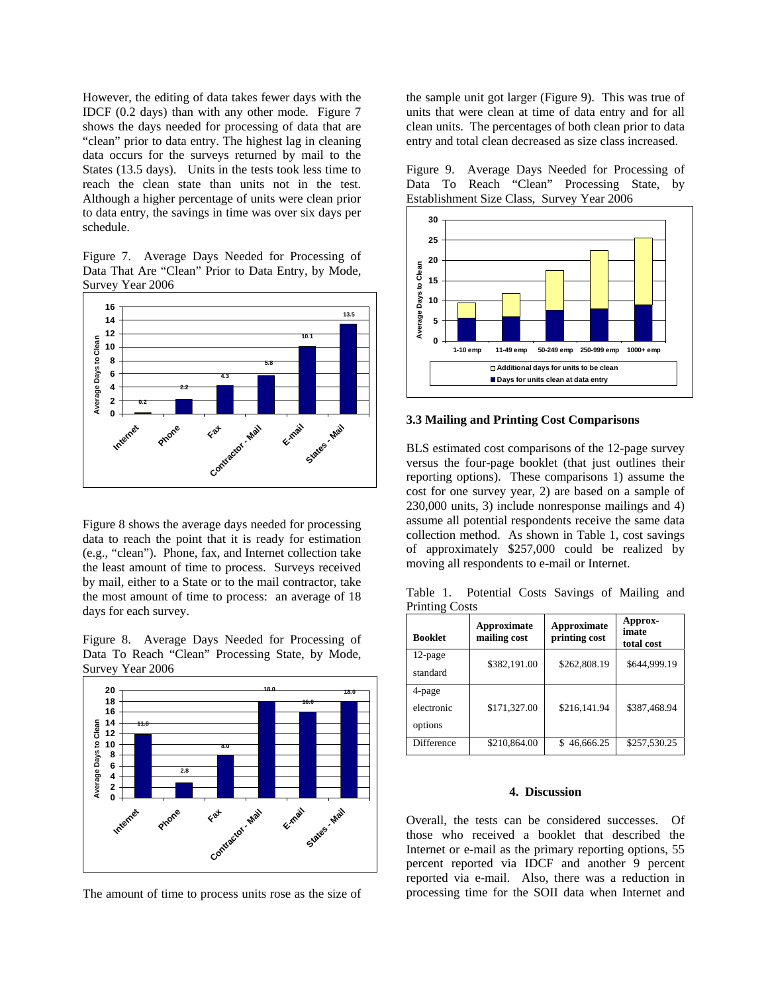However, the editing of data takes fewer days with the IDCF (0.2 days) than with any other mode. Figure 7 shows the days needed for processing of data that are "clean" prior to data entry. The highest lag in cleaning data occurs for the surveys returned by mail to the States (13.5 days). Units in the tests took less time to reach the clean state than units not in the test. Although a higher percentage of units were clean prior to data entry, the savings in time was over six days per schedule.

Figure 7. Average Days Needed for Processing of Data That Are "Clean" Prior to Data Entry, by Mode, Survey Year 2006



Figure 8 shows the average days needed for processing data to reach the point that it is ready for estimation (e.g., "clean"). Phone, fax, and Internet collection take the least amount of time to process. Surveys received by mail, either to a State or to the mail contractor, take the most amount of time to process: an average of 18 days for each survey.

Figure 8. Average Days Needed for Processing of Data To Reach "Clean" Processing State, by Mode, Survey Year 2006



The amount of time to process units rose as the size of

the sample unit got larger (Figure 9). This was true of units that were clean at time of data entry and for all clean units. The percentages of both clean prior to data entry and total clean decreased as size class increased.

Figure 9. Average Days Needed for Processing of Data To Reach "Clean" Processing State, by Establishment Size Class, Survey Year 2006



#### **3.3 Mailing and Printing Cost Comparisons**

BLS estimated cost comparisons of the 12-page survey versus the four-page booklet (that just outlines their reporting options). These comparisons 1) assume the cost for one survey year, 2) are based on a sample of 230,000 units, 3) include nonresponse mailings and 4) assume all potential respondents receive the same data collection method. As shown in Table 1, cost savings of approximately \$257,000 could be realized by moving all respondents to e-mail or Internet.

Table 1. Potential Costs Savings of Mailing and Printing Costs

| <b>Booklet</b>                  | Approximate<br>mailing cost | Approximate<br>printing cost | Approx-<br>imate<br>total cost |
|---------------------------------|-----------------------------|------------------------------|--------------------------------|
| 12-page<br>standard             | \$382,191.00                | \$262,808.19                 | \$644,999.19                   |
| 4-page<br>electronic<br>options | \$171,327.00                | \$216,141.94                 | \$387,468.94                   |
| <b>Difference</b>               | \$210,864.00                | \$46,666.25                  | \$257,530.25                   |

#### **4. Discussion**

Overall, the tests can be considered successes. Of those who received a booklet that described the Internet or e-mail as the primary reporting options, 55 percent reported via IDCF and another 9 percent reported via e-mail. Also, there was a reduction in processing time for the SOII data when Internet and